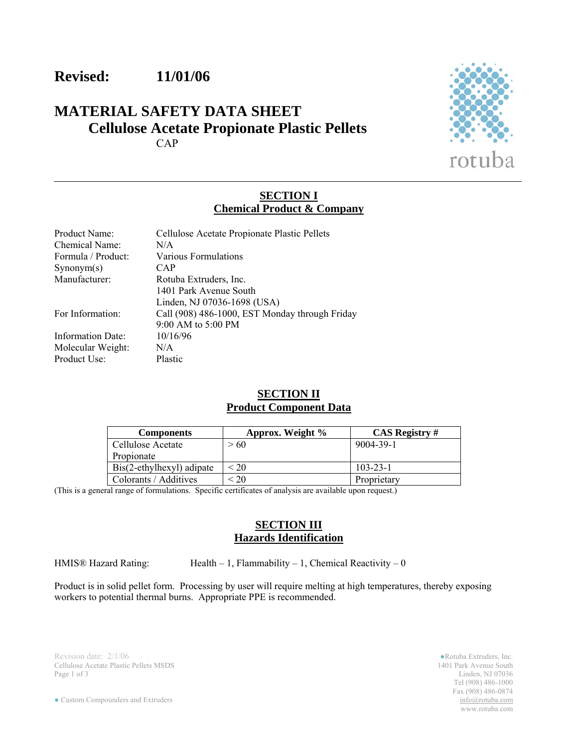# **Revised: 11/01/06**

# **MATERIAL SAFETY DATA SHEET Cellulose Acetate Propionate Plastic Pellets**  CAP



#### **SECTION I Chemical Product & Company**

| Product Name:      | Cellulose Acetate Propionate Plastic Pellets   |
|--------------------|------------------------------------------------|
| Chemical Name:     | N/A                                            |
| Formula / Product: | Various Formulations                           |
| Symonym(s)         | CAP                                            |
| Manufacturer:      | Rotuba Extruders, Inc.                         |
|                    | 1401 Park Avenue South                         |
|                    | Linden, NJ 07036-1698 (USA)                    |
| For Information:   | Call (908) 486-1000, EST Monday through Friday |
|                    | 9:00 AM to 5:00 PM                             |
| Information Date:  | 10/16/96                                       |
| Molecular Weight:  | N/A                                            |
| Product Use:       | Plastic                                        |

## **SECTION II Product Component Data**

| <b>Components</b>         | Approx. Weight % | <b>CAS Registry #</b> |
|---------------------------|------------------|-----------------------|
| Cellulose Acetate         | > 60             | 9004-39-1             |
| Propionate                |                  |                       |
| Bis(2-ethylhexyl) adipate | $\leq 20$        | $103 - 23 - 1$        |
| Colorants / Additives     | $\leq 20$        | Proprietary           |

(This is a general range of formulations. Specific certificates of analysis are available upon request.)

#### **SECTION III Hazards Identification**

HMIS® Hazard Rating: Health – 1, Flammability – 1, Chemical Reactivity – 0

Product is in solid pellet form. Processing by user will require melting at high temperatures, thereby exposing workers to potential thermal burns. Appropriate PPE is recommended.

Revision date: 2/1/06 **• Rotuba Extruders, Inc.** Cellulose Acetate Plastic Pellets MSDS **• Rotuba Extruders, Inc.** Cellulose Acetate Plastic Pellets MSDS **• 1401** Park Avenue South Cellulose Acetate Plastic Pellets MSDS<br>Page 1 of 3

Linden, NJ 07036 Tel (908) 486-1000 Fax (908) 486-0874<br>info@rotuba.com www.rotuba.com

 $\bullet$  Custom Compounders and Extruders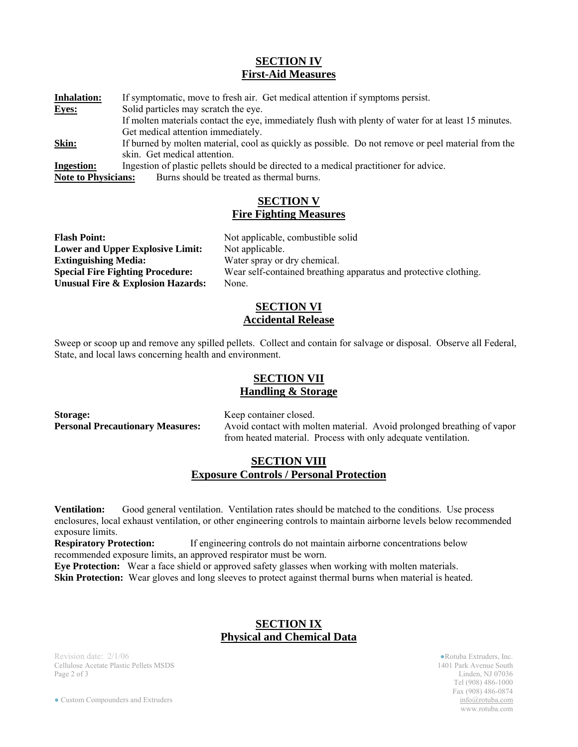#### **SECTION IV First-Aid Measures**

**Inhalation:** If symptomatic, move to fresh air. Get medical attention if symptoms persist. **Eyes:** Solid particles may scratch the eye. If molten materials contact the eye, immediately flush with plenty of water for at least 15 minutes. Get medical attention immediately. **Skin:** If burned by molten material, cool as quickly as possible. Do not remove or peel material from the skin. Get medical attention. **Ingestion:** Ingestion of plastic pellets should be directed to a medical practitioner for advice.

**Note to Physicians:** Burns should be treated as thermal burns.

#### **SECTION V Fire Fighting Measures**

| <b>Flash Point:</b>                          | Not applicable, combustible solid                                |  |
|----------------------------------------------|------------------------------------------------------------------|--|
| <b>Lower and Upper Explosive Limit:</b>      | Not applicable.                                                  |  |
| <b>Extinguishing Media:</b>                  | Water spray or dry chemical.                                     |  |
| <b>Special Fire Fighting Procedure:</b>      | Wear self-contained breathing apparatus and protective clothing. |  |
| <b>Unusual Fire &amp; Explosion Hazards:</b> | None.                                                            |  |

#### **SECTION VI Accidental Release**

Sweep or scoop up and remove any spilled pellets. Collect and contain for salvage or disposal. Observe all Federal, State, and local laws concerning health and environment.

# **SECTION VII**

**Handling & Storage**

**Storage:** Keep container closed.

**Personal Precautionary Measures:** Avoid contact with molten material. Avoid prolonged breathing of vapor from heated material. Process with only adequate ventilation.

# **SECTION VIII Exposure Controls / Personal Protection**

**Ventilation:** Good general ventilation. Ventilation rates should be matched to the conditions. Use process enclosures, local exhaust ventilation, or other engineering controls to maintain airborne levels below recommended exposure limits.

**Respiratory Protection:** If engineering controls do not maintain airborne concentrations below recommended exposure limits, an approved respirator must be worn.

**Eye Protection:** Wear a face shield or approved safety glasses when working with molten materials.

**Skin Protection:** Wear gloves and long sleeves to protect against thermal burns when material is heated.

#### **SECTION IX Physical and Chemical Data**

Revision date:  $2/1/06$  Rotuba Extruders, Inc. Cellulose Acetate Plastic Pellets MSDS 1401 Park Avenue South Page 2 of 3 Linden, NJ 07036

Tel (908) 486-1000 Fax (908) 486-0874 www.rotuba.com

● Custom Compounders and Extruders info@rotuba.com